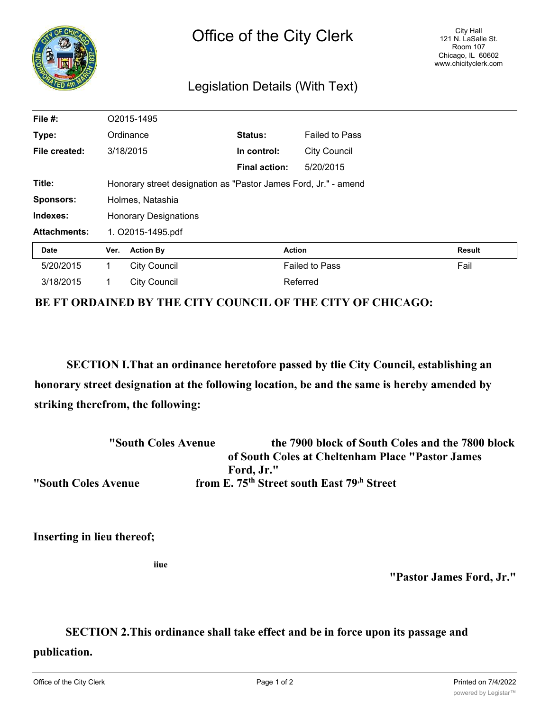

## Legislation Details (With Text)

| File #:             |                                                                 | O2015-1495          |                      |                       |               |
|---------------------|-----------------------------------------------------------------|---------------------|----------------------|-----------------------|---------------|
| Type:               |                                                                 | Ordinance           | Status:              | <b>Failed to Pass</b> |               |
| File created:       |                                                                 | 3/18/2015           | In control:          | <b>City Council</b>   |               |
|                     |                                                                 |                     | <b>Final action:</b> | 5/20/2015             |               |
| Title:              | Honorary street designation as "Pastor James Ford, Jr." - amend |                     |                      |                       |               |
| <b>Sponsors:</b>    | Holmes, Natashia                                                |                     |                      |                       |               |
| Indexes:            | <b>Honorary Designations</b>                                    |                     |                      |                       |               |
| <b>Attachments:</b> | 1. O2015-1495.pdf                                               |                     |                      |                       |               |
| <b>Date</b>         | Ver.                                                            | <b>Action By</b>    |                      | <b>Action</b>         | <b>Result</b> |
| 5/20/2015           | 1                                                               | <b>City Council</b> |                      | <b>Failed to Pass</b> | Fail          |
| 3/18/2015           | 1                                                               | <b>City Council</b> |                      | Referred              |               |

**BE FT ORDAINED BY THE CITY COUNCIL OF THE CITY OF CHICAGO:**

**SECTION I.That an ordinance heretofore passed by tlie City Council, establishing an honorary street designation at the following location, be and the same is hereby amended by striking therefrom, the following:**

| "South Coles Avenue | the 7900 block of South Coles and the 7800 block                   |
|---------------------|--------------------------------------------------------------------|
|                     | of South Coles at Cheltenham Place "Pastor James"                  |
|                     | Ford, Jr."                                                         |
| "South Coles Avenue | from E. 75 <sup>th</sup> Street south East 79 <sup>th</sup> Street |

**Inserting in lieu thereof;**

**iiue**

**"Pastor James Ford, Jr."**

## **SECTION 2.This ordinance shall take effect and be in force upon its passage and**

**publication.**